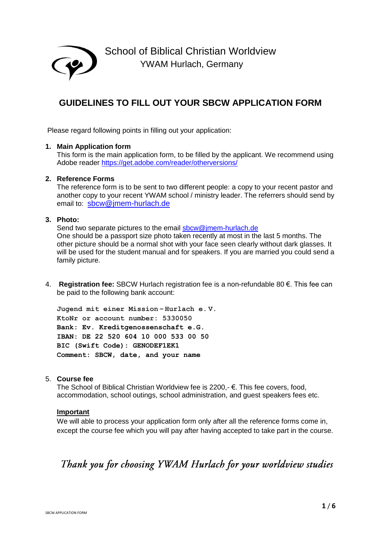

# **GUIDELINES TO FILL OUT YOUR SBCW APPLICATION FORM**

Please regard following points in filling out your application:

## **1. Main Application form**

This form is the main application form, to be filled by the applicant. We recommend using Adobe reader https://get.adobe.com/reader/otherversions/

# **2. Reference Forms**

family picture.

The reference form is to be sent to two different people: a copy to your recent pastor and another copy to your recent YWAM school / ministry leader. The referrers should send by email to: sbcw@jmem-hurlach.de

# **3. Photo:**

Send two separate pictures to the email sbcw@jmem-hurlach.de One should be a passport size photo taken recently at most in the last 5 months. The other picture should be a normal shot with your face seen clearly without dark glasses. It will be used for the student manual and for speakers. If you are married you could send a

4. **Registration fee:** SBCW Hurlach registration fee is a non-refundable 80 €. This fee can be paid to the following bank account:

**Jugend mit einer Mission – Hurlach e. V. KtoNr or account number: 5330050 Bank: Ev. Kreditgenossenschaft e.G. IBAN: DE 22 520 604 10 000 533 00 50 BIC (Swift Code): GENODEF1EK1 Comment: SBCW, date, and your name**

# 5. **Course fee**

The School of Biblical Christian Worldview fee is 2200,- €. This fee covers, food, accommodation, school outings, school administration, and guest speakers fees etc.

# **Important**

We will able to process your application form only after all the reference forms come in, except the course fee which you will pay after having accepted to take part in the course.

# Thank you for choosing YWAM Hurlach for your worldview studies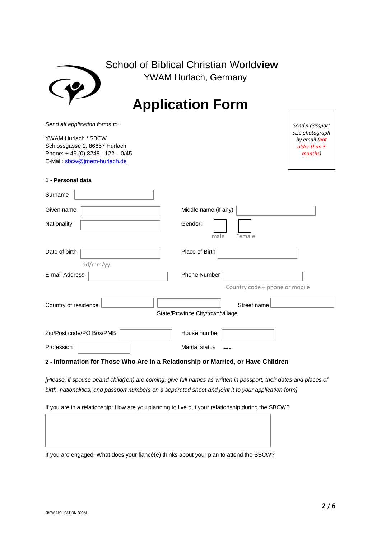| School of Biblical Christian Worldview<br><b>YWAM Hurlach, Germany</b>                                                   |                                                             |  |  |
|--------------------------------------------------------------------------------------------------------------------------|-------------------------------------------------------------|--|--|
|                                                                                                                          | <b>Application Form</b>                                     |  |  |
| Send all application forms to:                                                                                           | Send a passport                                             |  |  |
| YWAM Hurlach / SBCW<br>Schlossgasse 1, 86857 Hurlach<br>Phone: +49 (0) 8248 - 122 - 0/45<br>E-Mail: sbcw@jmem-hurlach.de | size photograph<br>by email (not<br>older than 5<br>months) |  |  |
| 1 - Personal data                                                                                                        |                                                             |  |  |
| Surname                                                                                                                  |                                                             |  |  |
| Middle name (if any)<br>Given name                                                                                       |                                                             |  |  |
| Gender:<br>Nationality<br>male<br>Female                                                                                 |                                                             |  |  |
| Date of birth<br>dd/mm/yy                                                                                                | Place of Birth                                              |  |  |
| E-mail Address                                                                                                           | <b>Phone Number</b><br>Country code + phone or mobile       |  |  |
| Country of residence                                                                                                     | Street name<br>State/Province City/town/village             |  |  |
| Zip/Post code/PO Box/PMB                                                                                                 | House number                                                |  |  |
| Profession                                                                                                               | <b>Marital status</b>                                       |  |  |
| 2 - Information for Those Who Are in a Relationship or Married, or Have Children                                         |                                                             |  |  |

*[Please, if spouse or/and child(ren) are coming, give full names as written in passport, their dates and places of birth, nationalities, and passport numbers on a separated sheet and joint it to your application form]*

If you are in a relationship: How are you planning to live out your relationship during the SBCW?

If you are engaged: What does your fiancé(e) thinks about your plan to attend the SBCW?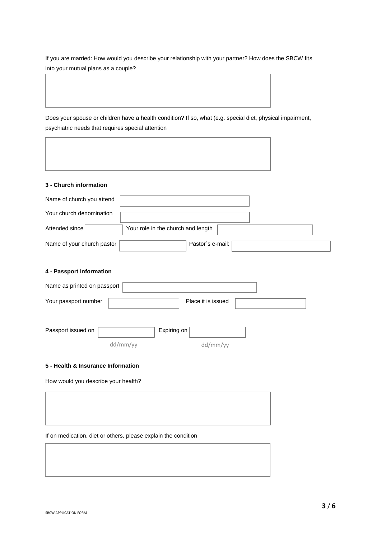If you are married: How would you describe your relationship with your partner? How does the SBCW fits into your mutual plans as a couple?

Does your spouse or children have a health condition? If so, what (e.g. special diet, physical impairment, psychiatric needs that requires special attention

### **3 - Church information**

| Name of church you attend  |                                    |  |
|----------------------------|------------------------------------|--|
| Your church denomination   |                                    |  |
| Attended since             | Your role in the church and length |  |
| Name of your church pastor | Pastor's e-mail:                   |  |

## **4 - Passport Information**

| Name as printed on passport |                    |  |
|-----------------------------|--------------------|--|
| Your passport number        | Place it is issued |  |
|                             |                    |  |

| Passport issued on |          | Expiring on $ $ |          |
|--------------------|----------|-----------------|----------|
|                    | dd/mm/yy |                 | dd/mm/yy |

#### **5 - Health & Insurance Information**

How would you describe your health?

If on medication, diet or others, please explain the condition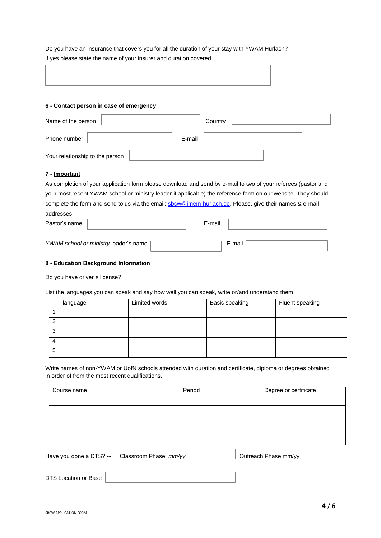Do you have an insurance that covers you for all the duration of your stay with YWAM Hurlach? if yes please state the name of your insurer and duration covered.

| ,我们也不会不会不会。""我们的,我们也不会不会不会。""我们的,我们也不会不会不会不会不会。""我们的,我们也不会不会不会不会。""我们的,我们也不会不会不会 |  |
|----------------------------------------------------------------------------------|--|
|                                                                                  |  |
|                                                                                  |  |

## **6 - Contact person in case of emergency**

| Name of the person              | Country |
|---------------------------------|---------|
| E-mail<br>Phone number          |         |
| Your relationship to the person |         |

## **7 - Important**

As completion of your application form please download and send by e-mail to two of your referees (pastor and your most recent YWAM school or ministry leader if applicable) the reference form on our website. They should complete the form and send to us via the email: **sbcw@jmem-hurlach.de**. Please, give their names & e-mail addresses:

Pastor's name  $\vert$  E-mail *YWAM school or ministry leader's name* 

## **8 - Education Background Information**

Do you have driver´s license?

List the languages you can speak and say how well you can speak, write or/and understand them

|        | language | Limited words | Basic speaking | Fluent speaking |
|--------|----------|---------------|----------------|-----------------|
|        |          |               |                |                 |
| $\sim$ |          |               |                |                 |
| ົ<br>J |          |               |                |                 |
| 4      |          |               |                |                 |
| 5      |          |               |                |                 |

Write names of non-YWAM or UofN schools attended with duration and certificate, diploma or degrees obtained in order of from the most recent qualifications.

| Period | Degree or certificate |
|--------|-----------------------|
|        |                       |
|        |                       |
|        |                       |
|        |                       |
|        |                       |
|        |                       |

Have you done a DTS? -- Classroom Phase,  $\textit{mm/yy} \ \boxed{\qquad \qquad}$  Outreach Phase mm/yy

DTS Location or Base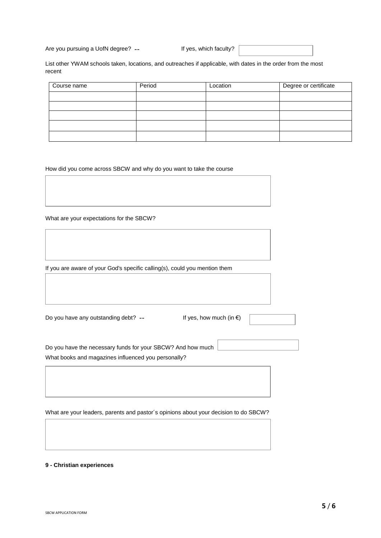Are you pursuing a UofN degree? -- The Markey of the Ses, which faculty?

List other YWAM schools taken, locations, and outreaches if applicable, with dates in the order from the most recent

| Course name | Period | Location | Degree or certificate |
|-------------|--------|----------|-----------------------|
|             |        |          |                       |
|             |        |          |                       |
|             |        |          |                       |
|             |        |          |                       |
|             |        |          |                       |

How did you come across SBCW and why do you want to take the course

What are your expectations for the SBCW?

If you are aware of your God's specific calling(s), could you mention them

Do you have any outstanding debt?  $---$  If yes, how much (in  $\notin$ )

Do you have the necessary funds for your SBCW? And how much What books and magazines influenced you personally?

What are your leaders, parents and pastor´s opinions about your decision to do SBCW?

## **9 - Christian experiences**